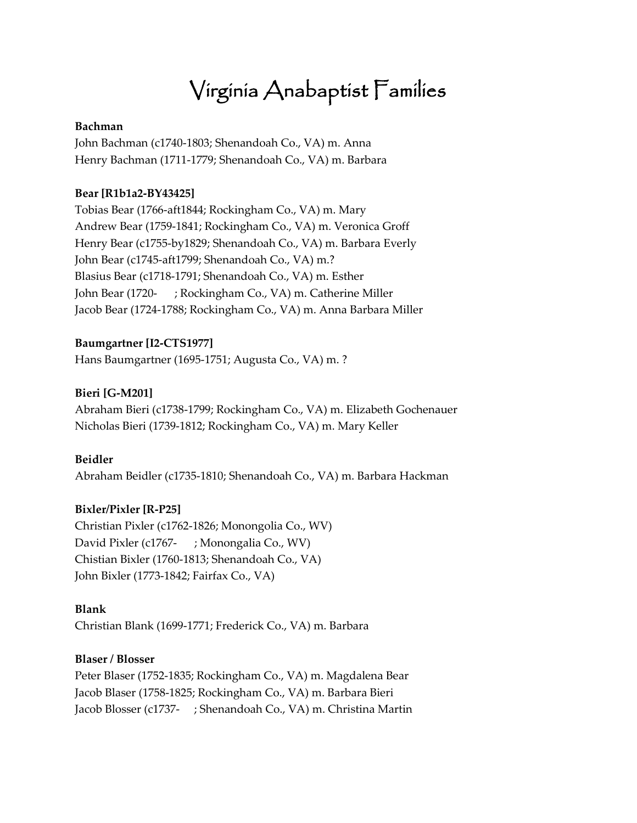# Virginia Anabaptist Families

#### **Bachman**

John Bachman (c1740-1803; Shenandoah Co., VA) m. Anna Henry Bachman (1711-1779; Shenandoah Co., VA) m. Barbara

#### **Bear [R1b1a2-BY43425]**

Tobias Bear (1766-aft1844; Rockingham Co., VA) m. Mary Andrew Bear (1759-1841; Rockingham Co., VA) m. Veronica Groff Henry Bear (c1755-by1829; Shenandoah Co., VA) m. Barbara Everly John Bear (c1745-aft1799; Shenandoah Co., VA) m.? Blasius Bear (c1718-1791; Shenandoah Co., VA) m. Esther John Bear (1720- ; Rockingham Co., VA) m. Catherine Miller Jacob Bear (1724-1788; Rockingham Co., VA) m. Anna Barbara Miller

#### **Baumgartner [I2-CTS1977]**

Hans Baumgartner (1695-1751; Augusta Co., VA) m. ?

# **Bieri [G-M201]**

Abraham Bieri (c1738-1799; Rockingham Co., VA) m. Elizabeth Gochenauer Nicholas Bieri (1739-1812; Rockingham Co., VA) m. Mary Keller

#### **Beidler**

Abraham Beidler (c1735-1810; Shenandoah Co., VA) m. Barbara Hackman

#### **Bixler/Pixler [R-P25]**

Christian Pixler (c1762-1826; Monongolia Co., WV) David Pixler (c1767- ; Monongalia Co., WV) Chistian Bixler (1760-1813; Shenandoah Co., VA) John Bixler (1773-1842; Fairfax Co., VA)

#### **Blank**

Christian Blank (1699-1771; Frederick Co., VA) m. Barbara

#### **Blaser / Blosser**

Peter Blaser (1752-1835; Rockingham Co., VA) m. Magdalena Bear Jacob Blaser (1758-1825; Rockingham Co., VA) m. Barbara Bieri Jacob Blosser (c1737- ; Shenandoah Co., VA) m. Christina Martin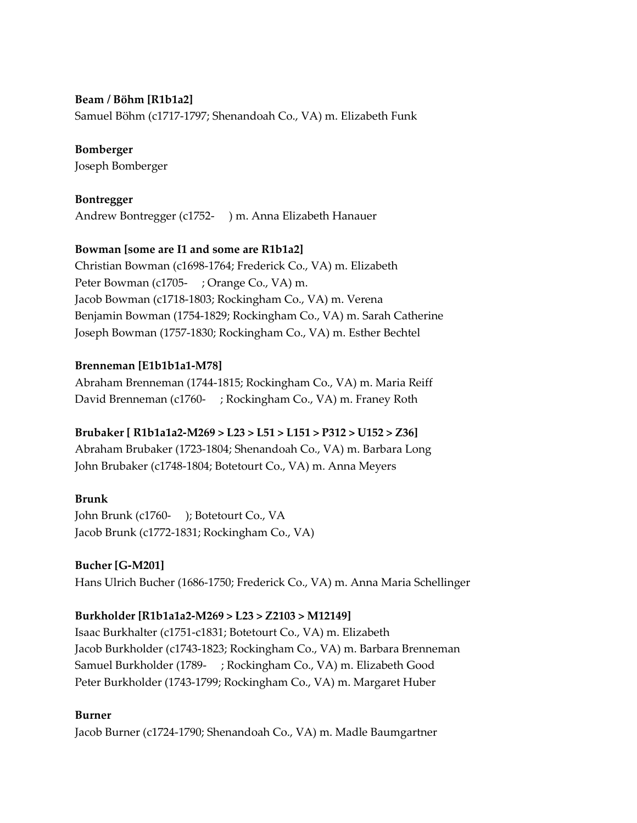#### **Beam / Böhm [R1b1a2]**

Samuel Böhm (c1717-1797; Shenandoah Co., VA) m. Elizabeth Funk

#### **Bomberger**

Joseph Bomberger

#### **Bontregger**

Andrew Bontregger (c1752- ) m. Anna Elizabeth Hanauer

#### **Bowman [some are I1 and some are R1b1a2]**

Christian Bowman (c1698-1764; Frederick Co., VA) m. Elizabeth Peter Bowman (c1705- ; Orange Co., VA) m. Jacob Bowman (c1718-1803; Rockingham Co., VA) m. Verena Benjamin Bowman (1754-1829; Rockingham Co., VA) m. Sarah Catherine Joseph Bowman (1757-1830; Rockingham Co., VA) m. Esther Bechtel

#### **Brenneman [E1b1b1a1-M78]**

Abraham Brenneman (1744-1815; Rockingham Co., VA) m. Maria Reiff David Brenneman (c1760- ; Rockingham Co., VA) m. Franey Roth

#### **Brubaker [ R1b1a1a2-M269 > L23 > L51 > L151 > P312 > U152 > Z36]**

Abraham Brubaker (1723-1804; Shenandoah Co., VA) m. Barbara Long John Brubaker (c1748-1804; Botetourt Co., VA) m. Anna Meyers

#### **Brunk**

John Brunk (c1760- ); Botetourt Co., VA Jacob Brunk (c1772-1831; Rockingham Co., VA)

#### **Bucher [G-M201]**

Hans Ulrich Bucher (1686-1750; Frederick Co., VA) m. Anna Maria Schellinger

#### **Burkholder [R1b1a1a2-M269 > L23 > Z2103 > M12149]**

Isaac Burkhalter (c1751-c1831; Botetourt Co., VA) m. Elizabeth Jacob Burkholder (c1743-1823; Rockingham Co., VA) m. Barbara Brenneman Samuel Burkholder (1789- ; Rockingham Co., VA) m. Elizabeth Good Peter Burkholder (1743-1799; Rockingham Co., VA) m. Margaret Huber

#### **Burner**

Jacob Burner (c1724-1790; Shenandoah Co., VA) m. Madle Baumgartner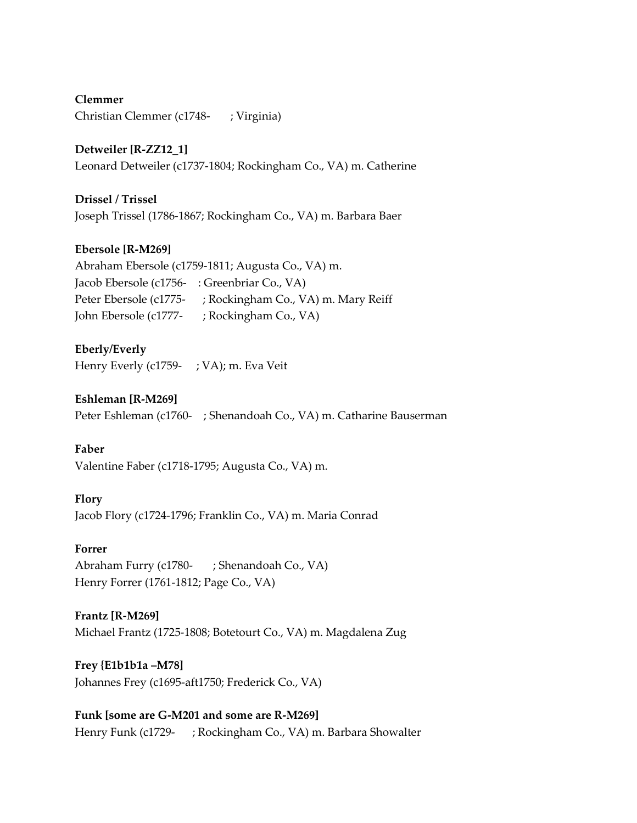**Clemmer** Christian Clemmer (c1748- ; Virginia)

**Detweiler [R-ZZ12\_1]** Leonard Detweiler (c1737-1804; Rockingham Co., VA) m. Catherine

**Drissel / Trissel** Joseph Trissel (1786-1867; Rockingham Co., VA) m. Barbara Baer

#### **Ebersole [R-M269]**

| Abraham Ebersole (c1759-1811; Augusta Co., VA) m. |                                     |
|---------------------------------------------------|-------------------------------------|
| Jacob Ebersole (c1756- : Greenbriar Co., VA)      |                                     |
| Peter Ebersole (c1775-                            | ; Rockingham Co., VA) m. Mary Reiff |
| John Ebersole (c1777-                             | ; Rockingham Co., VA)               |

#### **Eberly/Everly**

Henry Everly (c1759- ; VA); m. Eva Veit

#### **Eshleman [R-M269]**

Peter Eshleman (c1760- ; Shenandoah Co., VA) m. Catharine Bauserman

#### **Faber**

Valentine Faber (c1718-1795; Augusta Co., VA) m.

#### **Flory**

Jacob Flory (c1724-1796; Franklin Co., VA) m. Maria Conrad

#### **Forrer**

Abraham Furry (c1780- ; Shenandoah Co., VA) Henry Forrer (1761-1812; Page Co., VA)

#### **Frantz [R-M269]**

Michael Frantz (1725-1808; Botetourt Co., VA) m. Magdalena Zug

# **Frey {E1b1b1a –M78]**

Johannes Frey (c1695-aft1750; Frederick Co., VA)

**Funk [some are G-M201 and some are R-M269]**  Henry Funk (c1729- ; Rockingham Co., VA) m. Barbara Showalter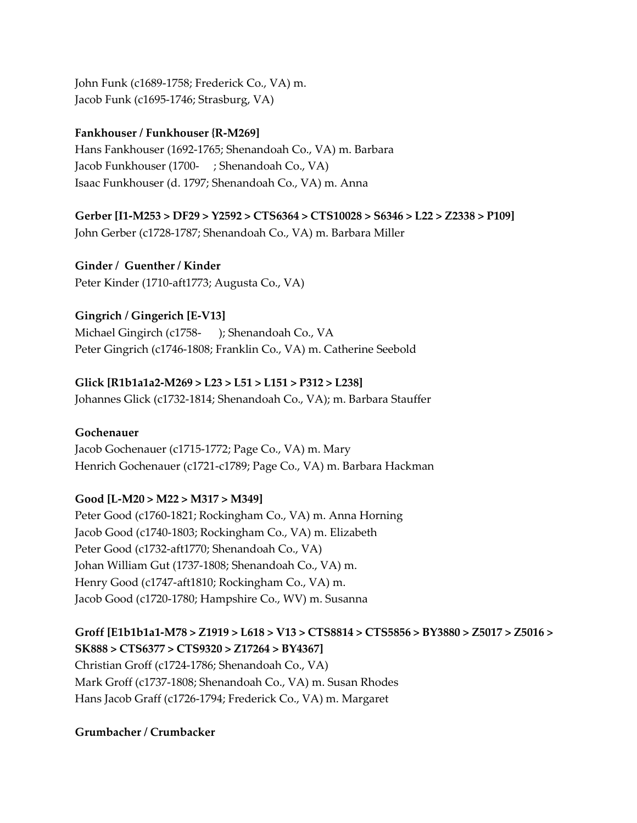John Funk (c1689-1758; Frederick Co., VA) m. Jacob Funk (c1695-1746; Strasburg, VA)

#### **Fankhouser / Funkhouser {R-M269]**

Hans Fankhouser (1692-1765; Shenandoah Co., VA) m. Barbara Jacob Funkhouser (1700- ; Shenandoah Co., VA) Isaac Funkhouser (d. 1797; Shenandoah Co., VA) m. Anna

#### **Gerber [I1-M253 > DF29 > Y2592 > CTS6364 > CTS10028 > S6346 > L22 > Z2338 > P109]**

John Gerber (c1728-1787; Shenandoah Co., VA) m. Barbara Miller

**Ginder / Guenther / Kinder** Peter Kinder (1710-aft1773; Augusta Co., VA)

#### **Gingrich / Gingerich [E-V13]**

Michael Gingirch (c1758- ); Shenandoah Co., VA Peter Gingrich (c1746-1808; Franklin Co., VA) m. Catherine Seebold

#### **Glick [R1b1a1a2-M269 > L23 > L51 > L151 > P312 > L238]**

Johannes Glick (c1732-1814; Shenandoah Co., VA); m. Barbara Stauffer

#### **Gochenauer**

Jacob Gochenauer (c1715-1772; Page Co., VA) m. Mary Henrich Gochenauer (c1721-c1789; Page Co., VA) m. Barbara Hackman

#### **Good [L-M20 > M22 > M317 > M349]**

Peter Good (c1760-1821; Rockingham Co., VA) m. Anna Horning Jacob Good (c1740-1803; Rockingham Co., VA) m. Elizabeth Peter Good (c1732-aft1770; Shenandoah Co., VA) Johan William Gut (1737-1808; Shenandoah Co., VA) m. Henry Good (c1747-aft1810; Rockingham Co., VA) m. Jacob Good (c1720-1780; Hampshire Co., WV) m. Susanna

# **Groff [E1b1b1a1-M78 > Z1919 > L618 > V13 > CTS8814 > CTS5856 > BY3880 > Z5017 > Z5016 >**

**SK888 > CTS6377 > CTS9320 > Z17264 > BY4367]** Christian Groff (c1724-1786; Shenandoah Co., VA) Mark Groff (c1737-1808; Shenandoah Co., VA) m. Susan Rhodes Hans Jacob Graff (c1726-1794; Frederick Co., VA) m. Margaret

**Grumbacher / Crumbacker**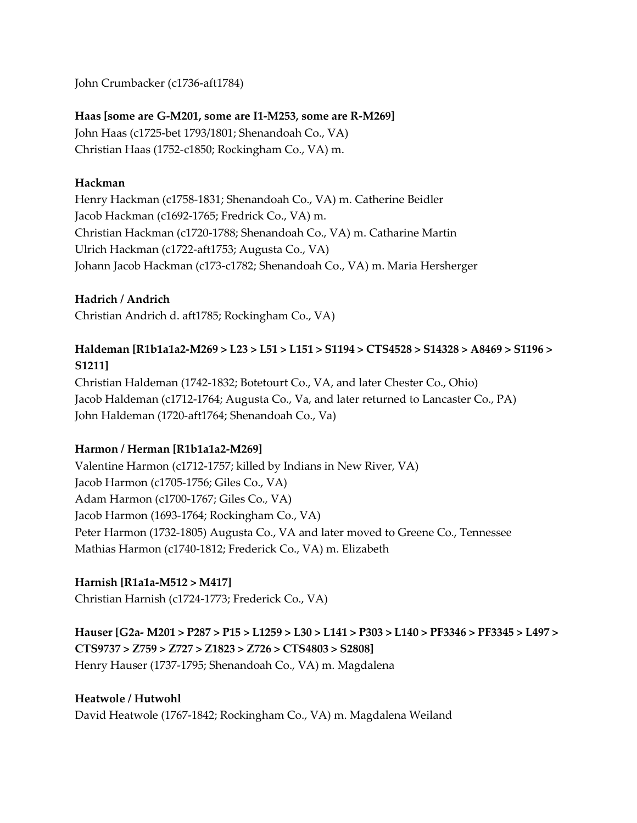John Crumbacker (c1736-aft1784)

# **Haas [some are G-M201, some are I1-M253, some are R-M269]**

John Haas (c1725-bet 1793/1801; Shenandoah Co., VA) Christian Haas (1752-c1850; Rockingham Co., VA) m.

# **Hackman**

Henry Hackman (c1758-1831; Shenandoah Co., VA) m. Catherine Beidler Jacob Hackman (c1692-1765; Fredrick Co., VA) m. Christian Hackman (c1720-1788; Shenandoah Co., VA) m. Catharine Martin Ulrich Hackman (c1722-aft1753; Augusta Co., VA) Johann Jacob Hackman (c173-c1782; Shenandoah Co., VA) m. Maria Hersherger

# **Hadrich / Andrich**

Christian Andrich d. aft1785; Rockingham Co., VA)

# **Haldeman [R1b1a1a2-M269 > L23 > L51 > L151 > S1194 > CTS4528 > S14328 > A8469 > S1196 > S1211]**

Christian Haldeman (1742-1832; Botetourt Co., VA, and later Chester Co., Ohio) Jacob Haldeman (c1712-1764; Augusta Co., Va, and later returned to Lancaster Co., PA) John Haldeman (1720-aft1764; Shenandoah Co., Va)

# **Harmon / Herman [R1b1a1a2-M269]**

Valentine Harmon (c1712-1757; killed by Indians in New River, VA) Jacob Harmon (c1705-1756; Giles Co., VA) Adam Harmon (c1700-1767; Giles Co., VA) Jacob Harmon (1693-1764; Rockingham Co., VA) Peter Harmon (1732-1805) Augusta Co., VA and later moved to Greene Co., Tennessee Mathias Harmon (c1740-1812; Frederick Co., VA) m. Elizabeth

# **Harnish [R1a1a-M512 > M417]**

Christian Harnish (c1724-1773; Frederick Co., VA)

**Hauser [G2a- M201 > P287 > P15 > L1259 > L30 > L141 > P303 > L140 > PF3346 > PF3345 > L497 > CTS9737 > Z759 > Z727 > Z1823 > Z726 > CTS4803 > S2808]** Henry Hauser (1737-1795; Shenandoah Co., VA) m. Magdalena

#### **Heatwole / Hutwohl**

David Heatwole (1767-1842; Rockingham Co., VA) m. Magdalena Weiland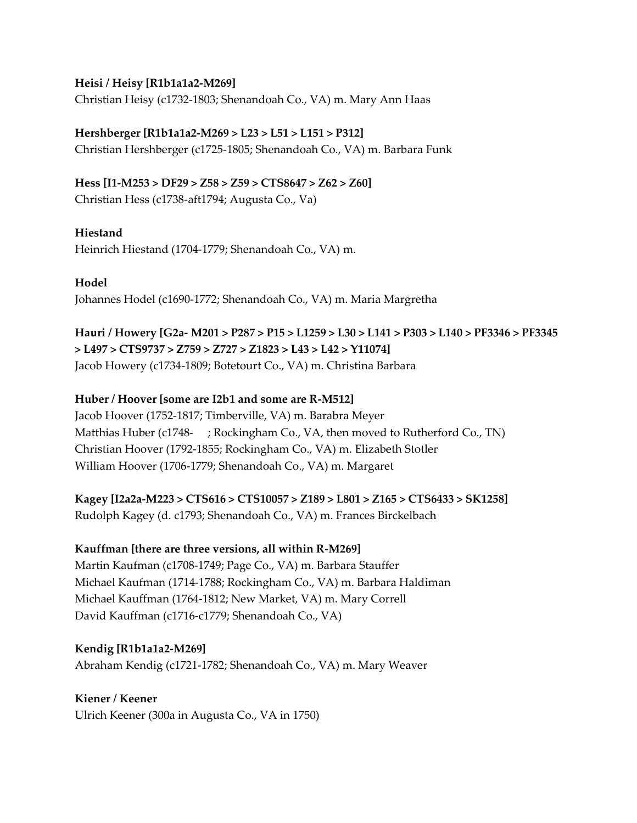#### **Heisi / Heisy [R1b1a1a2-M269]**

Christian Heisy (c1732-1803; Shenandoah Co., VA) m. Mary Ann Haas

#### **Hershberger [R1b1a1a2-M269 > L23 > L51 > L151 > P312]**

Christian Hershberger (c1725-1805; Shenandoah Co., VA) m. Barbara Funk

# **Hess [I1-M253 > DF29 > Z58 > Z59 > CTS8647 > Z62 > Z60]**

Christian Hess (c1738-aft1794; Augusta Co., Va)

#### **Hiestand**

Heinrich Hiestand (1704-1779; Shenandoah Co., VA) m.

**Hodel** Johannes Hodel (c1690-1772; Shenandoah Co., VA) m. Maria Margretha

# **Hauri / Howery [G2a- M201 > P287 > P15 > L1259 > L30 > L141 > P303 > L140 > PF3346 > PF3345 > L497 > CTS9737 > Z759 > Z727 > Z1823 > L43 > L42 > Y11074]** Jacob Howery (c1734-1809; Botetourt Co., VA) m. Christina Barbara

#### **Huber / Hoover [some are I2b1 and some are R-M512]**

Jacob Hoover (1752-1817; Timberville, VA) m. Barabra Meyer Matthias Huber (c1748- ; Rockingham Co., VA, then moved to Rutherford Co., TN) Christian Hoover (1792-1855; Rockingham Co., VA) m. Elizabeth Stotler William Hoover (1706-1779; Shenandoah Co., VA) m. Margaret

**Kagey [I2a2a-M223 > CTS616 > CTS10057 > Z189 > L801 > Z165 > CTS6433 > SK1258]**

Rudolph Kagey (d. c1793; Shenandoah Co., VA) m. Frances Birckelbach

#### **Kauffman [there are three versions, all within R-M269]**

Martin Kaufman (c1708-1749; Page Co., VA) m. Barbara Stauffer Michael Kaufman (1714-1788; Rockingham Co., VA) m. Barbara Haldiman Michael Kauffman (1764-1812; New Market, VA) m. Mary Correll David Kauffman (c1716-c1779; Shenandoah Co., VA)

**Kendig [R1b1a1a2-M269]** Abraham Kendig (c1721-1782; Shenandoah Co., VA) m. Mary Weaver

#### **Kiener / Keener**

Ulrich Keener (300a in Augusta Co., VA in 1750)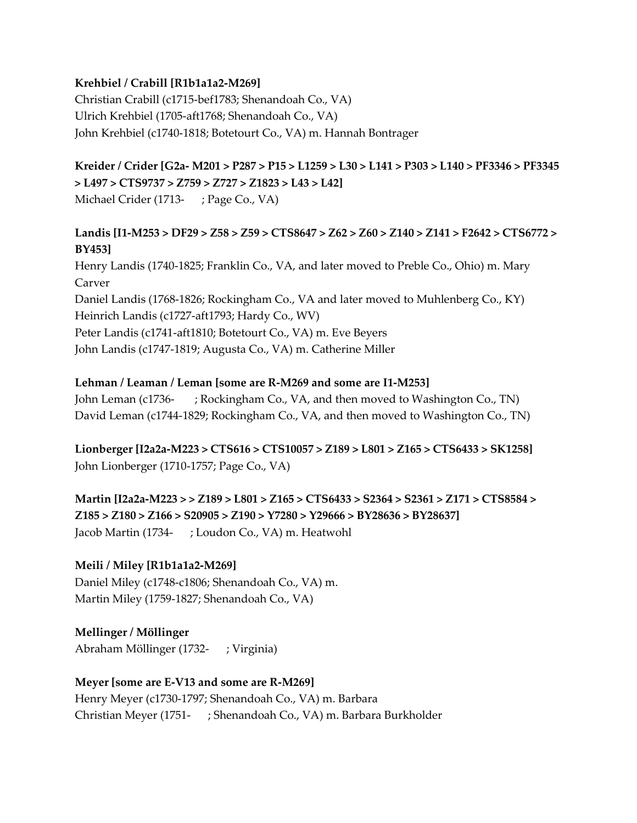#### **Krehbiel / Crabill [R1b1a1a2-M269]**

Christian Crabill (c1715-bef1783; Shenandoah Co., VA) Ulrich Krehbiel (1705-aft1768; Shenandoah Co., VA) John Krehbiel (c1740-1818; Botetourt Co., VA) m. Hannah Bontrager

# **Kreider / Crider [G2a- M201 > P287 > P15 > L1259 > L30 > L141 > P303 > L140 > PF3346 > PF3345 > L497 > CTS9737 > Z759 > Z727 > Z1823 > L43 > L42]** Michael Crider (1713- ; Page Co., VA)

# **Landis [I1-M253 > DF29 > Z58 > Z59 > CTS8647 > Z62 > Z60 > Z140 > Z141 > F2642 > CTS6772 > BY453]**

Henry Landis (1740-1825; Franklin Co., VA, and later moved to Preble Co., Ohio) m. Mary Carver Daniel Landis (1768-1826; Rockingham Co., VA and later moved to Muhlenberg Co., KY) Heinrich Landis (c1727-aft1793; Hardy Co., WV) Peter Landis (c1741-aft1810; Botetourt Co., VA) m. Eve Beyers John Landis (c1747-1819; Augusta Co., VA) m. Catherine Miller

#### **Lehman / Leaman / Leman [some are R-M269 and some are I1-M253]**

John Leman (c1736- ; Rockingham Co., VA, and then moved to Washington Co., TN) David Leman (c1744-1829; Rockingham Co., VA, and then moved to Washington Co., TN)

**Lionberger [I2a2a-M223 > CTS616 > CTS10057 > Z189 > L801 > Z165 > CTS6433 > SK1258]** John Lionberger (1710-1757; Page Co., VA)

**Martin [I2a2a-M223 > > Z189 > L801 > Z165 > CTS6433 > S2364 > S2361 > Z171 > CTS8584 > Z185 > Z180 > Z166 > S20905 > Z190 > Y7280 > Y29666 > BY28636 > BY28637]** Jacob Martin (1734- ; Loudon Co., VA) m. Heatwohl

#### **Meili / Miley [R1b1a1a2-M269]**

Daniel Miley (c1748-c1806; Shenandoah Co., VA) m. Martin Miley (1759-1827; Shenandoah Co., VA)

**Mellinger / Möllinger** Abraham Möllinger (1732- ; Virginia)

#### **Meyer [some are E-V13 and some are R-M269]**

Henry Meyer (c1730-1797; Shenandoah Co., VA) m. Barbara Christian Meyer (1751- ; Shenandoah Co., VA) m. Barbara Burkholder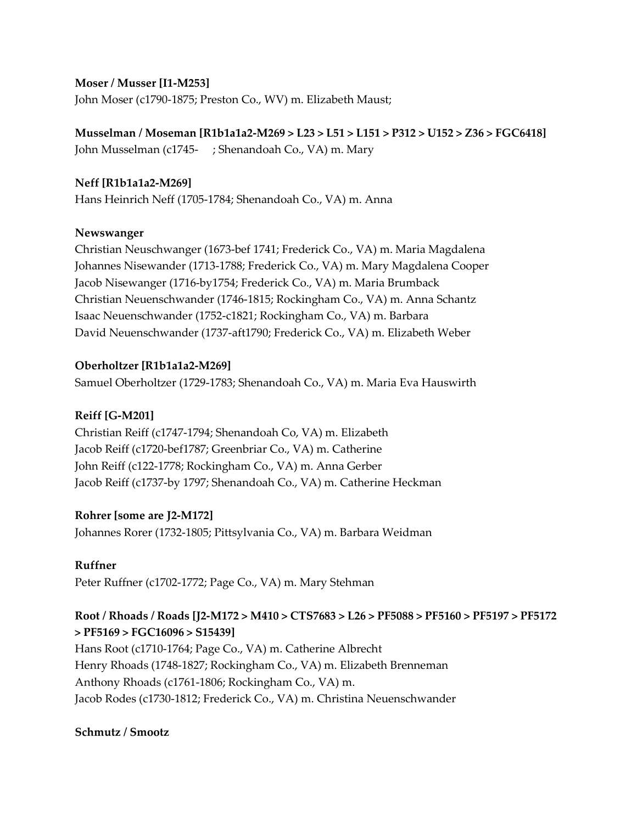#### **Moser / Musser [I1-M253]**

John Moser (c1790-1875; Preston Co., WV) m. Elizabeth Maust;

**Musselman / Moseman [R1b1a1a2-M269 > L23 > L51 > L151 > P312 > U152 > Z36 > FGC6418]** John Musselman (c1745- ; Shenandoah Co., VA) m. Mary

#### **Neff [R1b1a1a2-M269]**

Hans Heinrich Neff (1705-1784; Shenandoah Co., VA) m. Anna

#### **Newswanger**

Christian Neuschwanger (1673-bef 1741; Frederick Co., VA) m. Maria Magdalena Johannes Nisewander (1713-1788; Frederick Co., VA) m. Mary Magdalena Cooper Jacob Nisewanger (1716-by1754; Frederick Co., VA) m. Maria Brumback Christian Neuenschwander (1746-1815; Rockingham Co., VA) m. Anna Schantz Isaac Neuenschwander (1752-c1821; Rockingham Co., VA) m. Barbara David Neuenschwander (1737-aft1790; Frederick Co., VA) m. Elizabeth Weber

#### **Oberholtzer [R1b1a1a2-M269]**

Samuel Oberholtzer (1729-1783; Shenandoah Co., VA) m. Maria Eva Hauswirth

#### **Reiff [G-M201]**

Christian Reiff (c1747-1794; Shenandoah Co, VA) m. Elizabeth Jacob Reiff (c1720-bef1787; Greenbriar Co., VA) m. Catherine John Reiff (c122-1778; Rockingham Co., VA) m. Anna Gerber Jacob Reiff (c1737-by 1797; Shenandoah Co., VA) m. Catherine Heckman

#### **Rohrer [some are J2-M172]**

Johannes Rorer (1732-1805; Pittsylvania Co., VA) m. Barbara Weidman

#### **Ruffner**

Peter Ruffner (c1702-1772; Page Co., VA) m. Mary Stehman

# **Root / Rhoads / Roads [J2-M172 > M410 > CTS7683 > L26 > PF5088 > PF5160 > PF5197 > PF5172 > PF5169 > FGC16096 > S15439]**

Hans Root (c1710-1764; Page Co., VA) m. Catherine Albrecht Henry Rhoads (1748-1827; Rockingham Co., VA) m. Elizabeth Brenneman Anthony Rhoads (c1761-1806; Rockingham Co., VA) m. Jacob Rodes (c1730-1812; Frederick Co., VA) m. Christina Neuenschwander

#### **Schmutz / Smootz**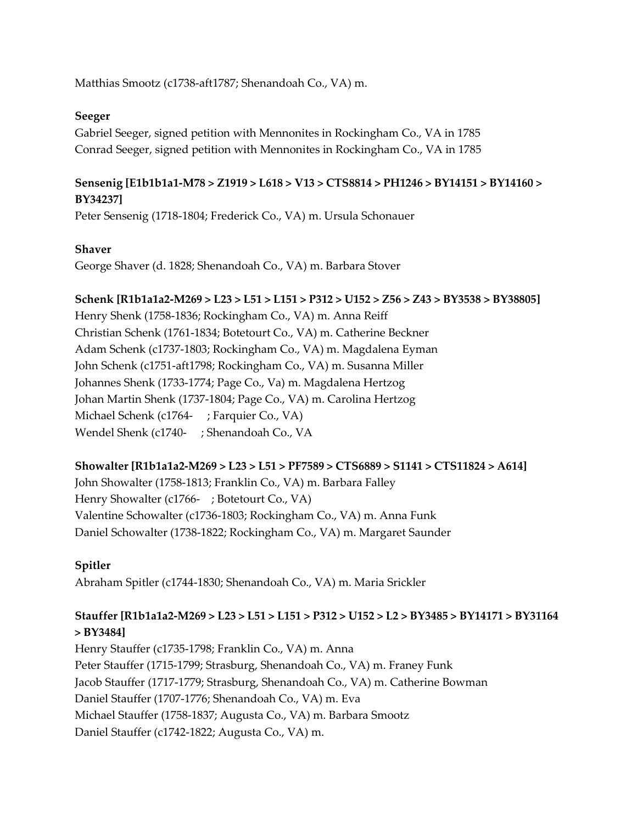Matthias Smootz (c1738-aft1787; Shenandoah Co., VA) m.

#### **Seeger**

Gabriel Seeger, signed petition with Mennonites in Rockingham Co., VA in 1785 Conrad Seeger, signed petition with Mennonites in Rockingham Co., VA in 1785

# **Sensenig [E1b1b1a1-M78 > Z1919 > L618 > V13 > CTS8814 > PH1246 > BY14151 > BY14160 > BY34237]**

Peter Sensenig (1718-1804; Frederick Co., VA) m. Ursula Schonauer

#### **Shaver**

George Shaver (d. 1828; Shenandoah Co., VA) m. Barbara Stover

#### **Schenk [R1b1a1a2-M269 > L23 > L51 > L151 > P312 > U152 > Z56 > Z43 > BY3538 > BY38805]**

Henry Shenk (1758-1836; Rockingham Co., VA) m. Anna Reiff Christian Schenk (1761-1834; Botetourt Co., VA) m. Catherine Beckner Adam Schenk (c1737-1803; Rockingham Co., VA) m. Magdalena Eyman John Schenk (c1751-aft1798; Rockingham Co., VA) m. Susanna Miller Johannes Shenk (1733-1774; Page Co., Va) m. Magdalena Hertzog Johan Martin Shenk (1737-1804; Page Co., VA) m. Carolina Hertzog Michael Schenk (c1764- ; Farquier Co., VA) Wendel Shenk (c1740- ; Shenandoah Co., VA

#### **Showalter [R1b1a1a2-M269 > L23 > L51 > PF7589 > CTS6889 > S1141 > CTS11824 > A614]**

John Showalter (1758-1813; Franklin Co., VA) m. Barbara Falley Henry Showalter (c1766- ; Botetourt Co., VA) Valentine Schowalter (c1736-1803; Rockingham Co., VA) m. Anna Funk Daniel Schowalter (1738-1822; Rockingham Co., VA) m. Margaret Saunder

#### **Spitler**

Abraham Spitler (c1744-1830; Shenandoah Co., VA) m. Maria Srickler

# **Stauffer [R1b1a1a2-M269 > L23 > L51 > L151 > P312 > U152 > L2 > BY3485 > BY14171 > BY31164 > BY3484]**

Henry Stauffer (c1735-1798; Franklin Co., VA) m. Anna Peter Stauffer (1715-1799; Strasburg, Shenandoah Co., VA) m. Franey Funk Jacob Stauffer (1717-1779; Strasburg, Shenandoah Co., VA) m. Catherine Bowman Daniel Stauffer (1707-1776; Shenandoah Co., VA) m. Eva Michael Stauffer (1758-1837; Augusta Co., VA) m. Barbara Smootz Daniel Stauffer (c1742-1822; Augusta Co., VA) m.